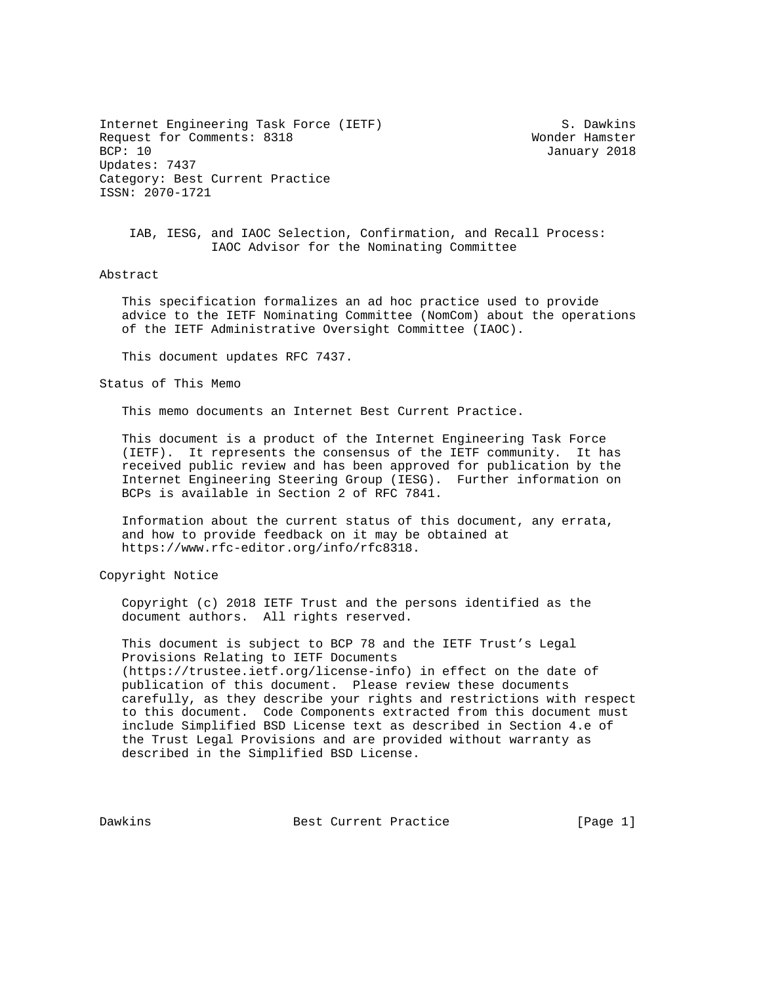Internet Engineering Task Force (IETF) S. Dawkins Request for Comments: 8318 Wonder Hamster<br>BCP: 10 January 2018 Updates: 7437 Category: Best Current Practice ISSN: 2070-1721

January 2018

 IAB, IESG, and IAOC Selection, Confirmation, and Recall Process: IAOC Advisor for the Nominating Committee

## Abstract

 This specification formalizes an ad hoc practice used to provide advice to the IETF Nominating Committee (NomCom) about the operations of the IETF Administrative Oversight Committee (IAOC).

This document updates RFC 7437.

Status of This Memo

This memo documents an Internet Best Current Practice.

 This document is a product of the Internet Engineering Task Force (IETF). It represents the consensus of the IETF community. It has received public review and has been approved for publication by the Internet Engineering Steering Group (IESG). Further information on BCPs is available in Section 2 of RFC 7841.

 Information about the current status of this document, any errata, and how to provide feedback on it may be obtained at https://www.rfc-editor.org/info/rfc8318.

Copyright Notice

 Copyright (c) 2018 IETF Trust and the persons identified as the document authors. All rights reserved.

 This document is subject to BCP 78 and the IETF Trust's Legal Provisions Relating to IETF Documents (https://trustee.ietf.org/license-info) in effect on the date of publication of this document. Please review these documents carefully, as they describe your rights and restrictions with respect to this document. Code Components extracted from this document must include Simplified BSD License text as described in Section 4.e of the Trust Legal Provisions and are provided without warranty as described in the Simplified BSD License.

Dawkins **Best Current Practice** [Page 1]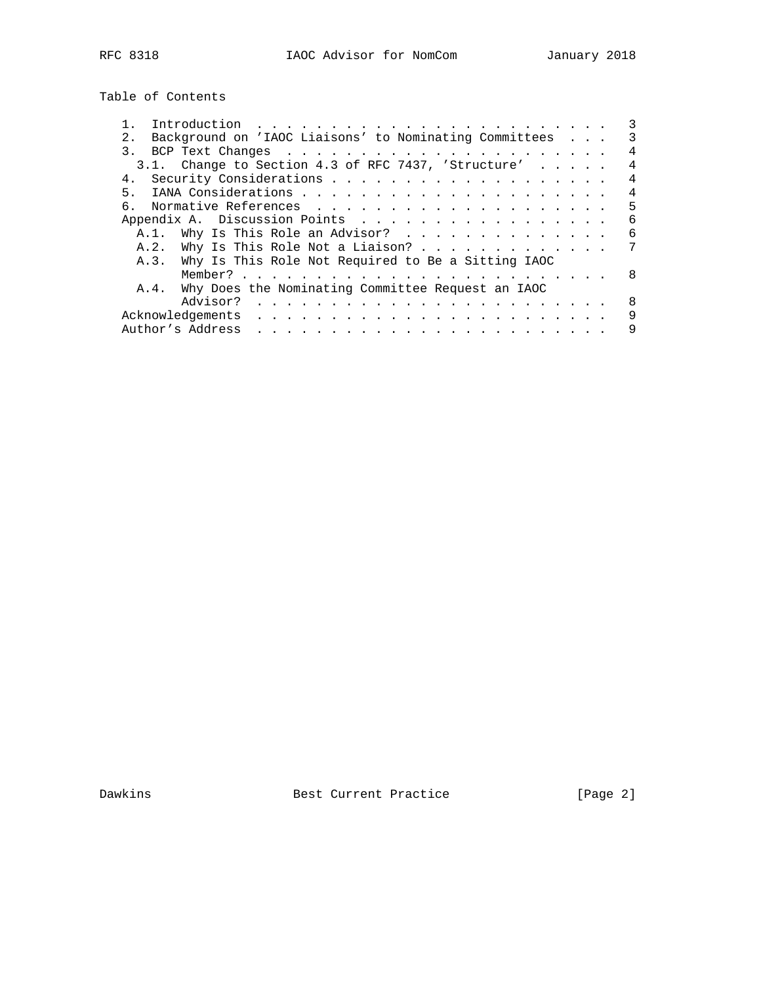Table of Contents

|                                                                                                                                                                                                                                                   |  |  | 3 |
|---------------------------------------------------------------------------------------------------------------------------------------------------------------------------------------------------------------------------------------------------|--|--|---|
| Background on 'IAOC Liaisons' to Nominating Committees<br>2.1                                                                                                                                                                                     |  |  | 3 |
|                                                                                                                                                                                                                                                   |  |  | 4 |
| 3.1. Change to Section 4.3 of RFC 7437, 'Structure'                                                                                                                                                                                               |  |  | 4 |
| 4.                                                                                                                                                                                                                                                |  |  | 4 |
| 5 <sub>1</sub>                                                                                                                                                                                                                                    |  |  | 4 |
| რ —                                                                                                                                                                                                                                               |  |  | 5 |
|                                                                                                                                                                                                                                                   |  |  | 6 |
| A.1. Why Is This Role an Advisor?                                                                                                                                                                                                                 |  |  | 6 |
| A.2. Why Is This Role Not a Liaison?                                                                                                                                                                                                              |  |  | 7 |
| A.3. Why Is This Role Not Required to Be a Sitting IAOC                                                                                                                                                                                           |  |  |   |
|                                                                                                                                                                                                                                                   |  |  | 8 |
| Why Does the Nominating Committee Request an IAOC<br>A.4.                                                                                                                                                                                         |  |  |   |
| Advisor?                                                                                                                                                                                                                                          |  |  | 8 |
| Acknowledgements                                                                                                                                                                                                                                  |  |  | 9 |
| Author's Address<br>a construction of the construction of the construction of the construction of the construction of the construction of the construction of the construction of the construction of the construction of the construction of the |  |  | 9 |

Dawkins **Best Current Practice** [Page 2]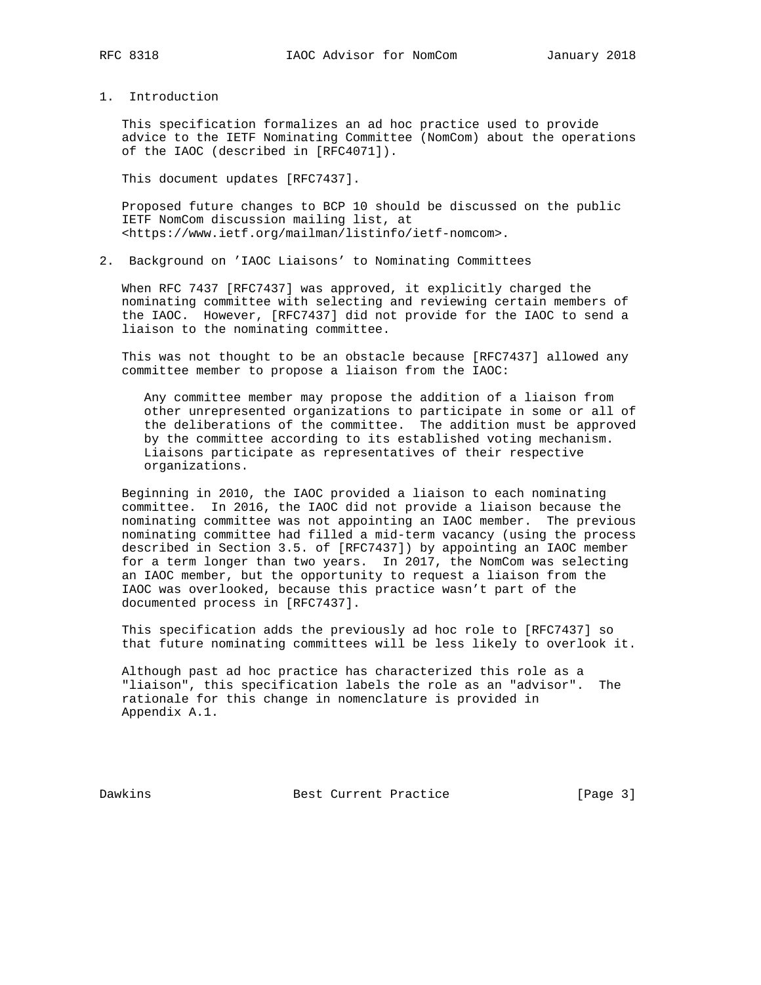1. Introduction

 This specification formalizes an ad hoc practice used to provide advice to the IETF Nominating Committee (NomCom) about the operations of the IAOC (described in [RFC4071]).

This document updates [RFC7437].

 Proposed future changes to BCP 10 should be discussed on the public IETF NomCom discussion mailing list, at <https://www.ietf.org/mailman/listinfo/ietf-nomcom>.

2. Background on 'IAOC Liaisons' to Nominating Committees

 When RFC 7437 [RFC7437] was approved, it explicitly charged the nominating committee with selecting and reviewing certain members of the IAOC. However, [RFC7437] did not provide for the IAOC to send a liaison to the nominating committee.

 This was not thought to be an obstacle because [RFC7437] allowed any committee member to propose a liaison from the IAOC:

 Any committee member may propose the addition of a liaison from other unrepresented organizations to participate in some or all of the deliberations of the committee. The addition must be approved by the committee according to its established voting mechanism. Liaisons participate as representatives of their respective organizations.

 Beginning in 2010, the IAOC provided a liaison to each nominating committee. In 2016, the IAOC did not provide a liaison because the nominating committee was not appointing an IAOC member. The previous nominating committee had filled a mid-term vacancy (using the process described in Section 3.5. of [RFC7437]) by appointing an IAOC member for a term longer than two years. In 2017, the NomCom was selecting an IAOC member, but the opportunity to request a liaison from the IAOC was overlooked, because this practice wasn't part of the documented process in [RFC7437].

 This specification adds the previously ad hoc role to [RFC7437] so that future nominating committees will be less likely to overlook it.

 Although past ad hoc practice has characterized this role as a "liaison", this specification labels the role as an "advisor". The rationale for this change in nomenclature is provided in Appendix A.1.

Dawkins **Best Current Practice** [Page 3]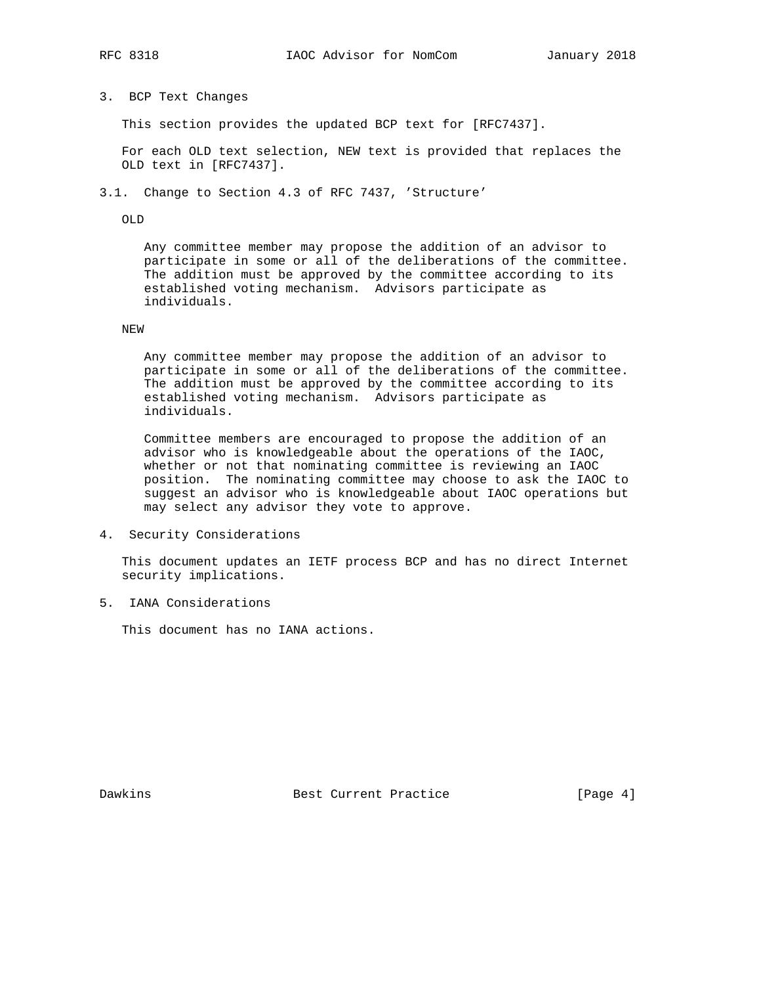# 3. BCP Text Changes

This section provides the updated BCP text for [RFC7437].

 For each OLD text selection, NEW text is provided that replaces the OLD text in [RFC7437].

3.1. Change to Section 4.3 of RFC 7437, 'Structure'

OLD

 Any committee member may propose the addition of an advisor to participate in some or all of the deliberations of the committee. The addition must be approved by the committee according to its established voting mechanism. Advisors participate as individuals.

## NEW

 Any committee member may propose the addition of an advisor to participate in some or all of the deliberations of the committee. The addition must be approved by the committee according to its established voting mechanism. Advisors participate as individuals.

 Committee members are encouraged to propose the addition of an advisor who is knowledgeable about the operations of the IAOC, whether or not that nominating committee is reviewing an IAOC position. The nominating committee may choose to ask the IAOC to suggest an advisor who is knowledgeable about IAOC operations but may select any advisor they vote to approve.

4. Security Considerations

 This document updates an IETF process BCP and has no direct Internet security implications.

5. IANA Considerations

This document has no IANA actions.

Dawkins Best Current Practice [Page 4]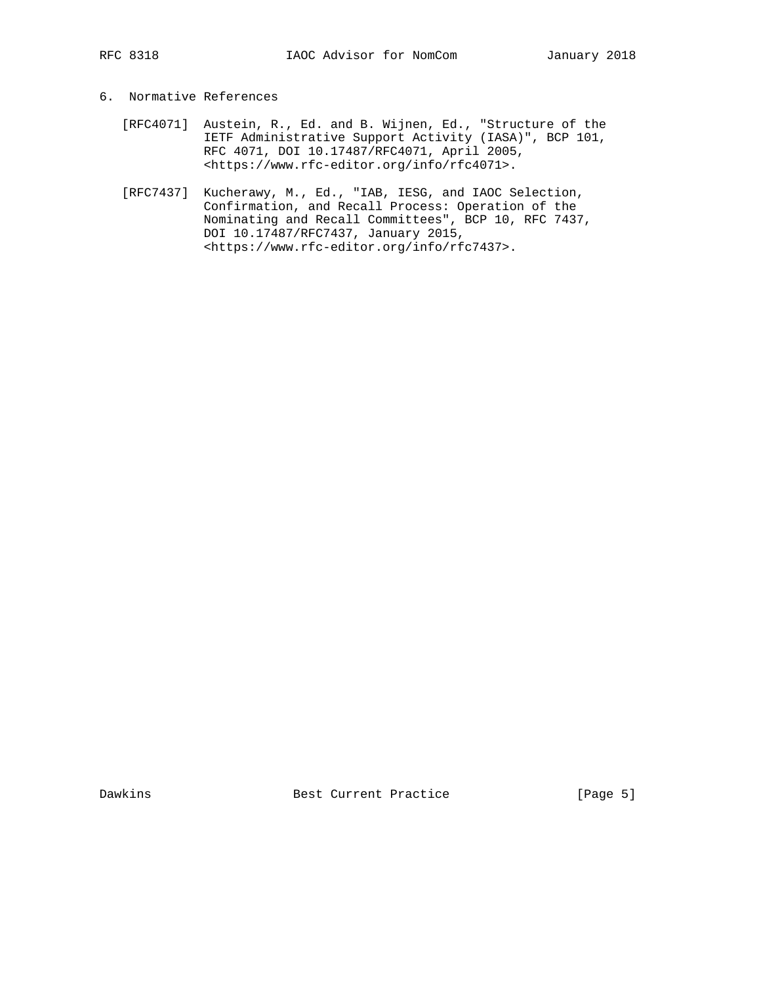# 6. Normative References

- [RFC4071] Austein, R., Ed. and B. Wijnen, Ed., "Structure of the IETF Administrative Support Activity (IASA)", BCP 101, RFC 4071, DOI 10.17487/RFC4071, April 2005, <https://www.rfc-editor.org/info/rfc4071>.
- [RFC7437] Kucherawy, M., Ed., "IAB, IESG, and IAOC Selection, Confirmation, and Recall Process: Operation of the Nominating and Recall Committees", BCP 10, RFC 7437, DOI 10.17487/RFC7437, January 2015, <https://www.rfc-editor.org/info/rfc7437>.

Dawkins **Best Current Practice** [Page 5]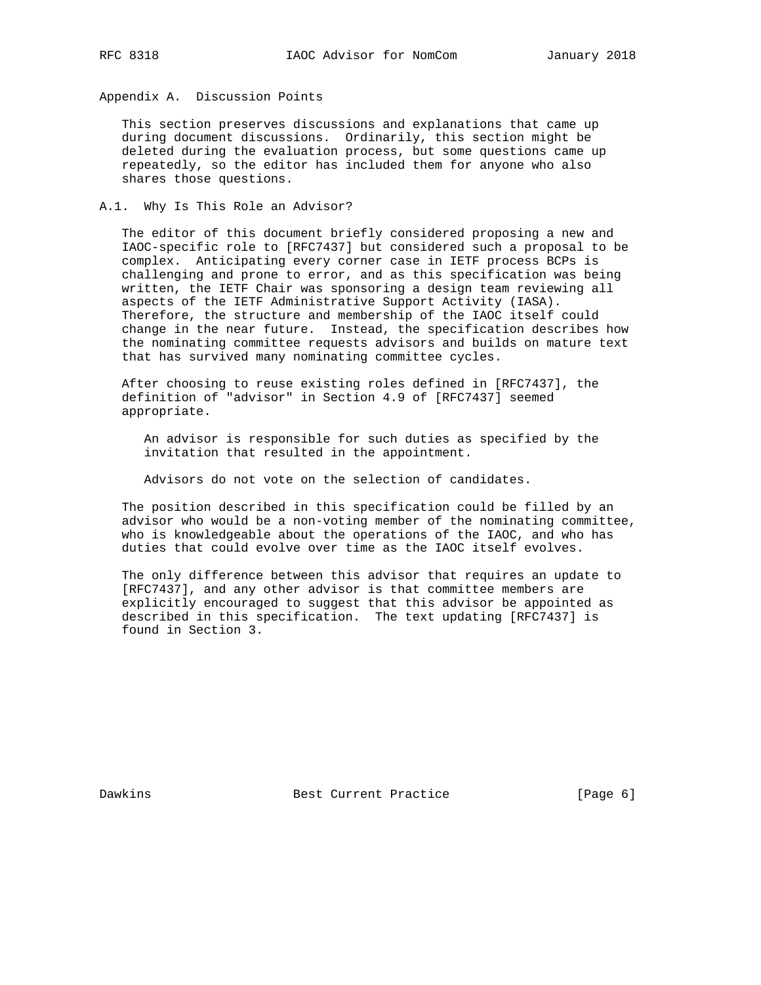Appendix A. Discussion Points

 This section preserves discussions and explanations that came up during document discussions. Ordinarily, this section might be deleted during the evaluation process, but some questions came up repeatedly, so the editor has included them for anyone who also shares those questions.

## A.1. Why Is This Role an Advisor?

 The editor of this document briefly considered proposing a new and IAOC-specific role to [RFC7437] but considered such a proposal to be complex. Anticipating every corner case in IETF process BCPs is challenging and prone to error, and as this specification was being written, the IETF Chair was sponsoring a design team reviewing all aspects of the IETF Administrative Support Activity (IASA). Therefore, the structure and membership of the IAOC itself could change in the near future. Instead, the specification describes how the nominating committee requests advisors and builds on mature text that has survived many nominating committee cycles.

 After choosing to reuse existing roles defined in [RFC7437], the definition of "advisor" in Section 4.9 of [RFC7437] seemed appropriate.

 An advisor is responsible for such duties as specified by the invitation that resulted in the appointment.

Advisors do not vote on the selection of candidates.

 The position described in this specification could be filled by an advisor who would be a non-voting member of the nominating committee, who is knowledgeable about the operations of the IAOC, and who has duties that could evolve over time as the IAOC itself evolves.

 The only difference between this advisor that requires an update to [RFC7437], and any other advisor is that committee members are explicitly encouraged to suggest that this advisor be appointed as described in this specification. The text updating [RFC7437] is found in Section 3.

Dawkins **Best Current Practice** [Page 6]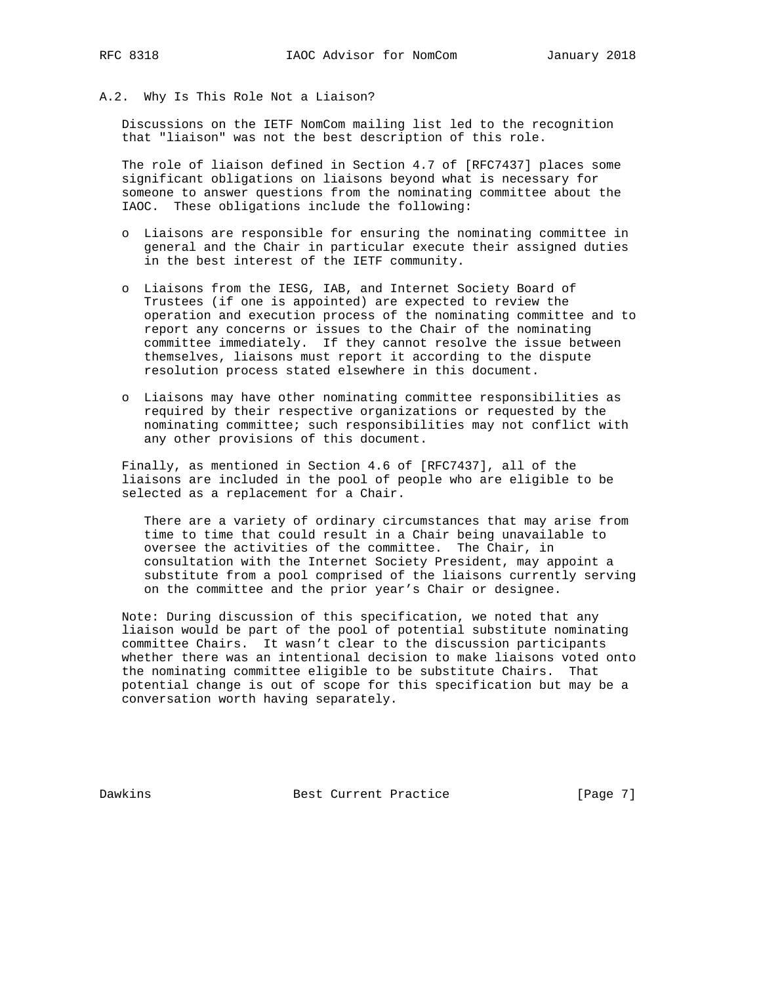## A.2. Why Is This Role Not a Liaison?

 Discussions on the IETF NomCom mailing list led to the recognition that "liaison" was not the best description of this role.

 The role of liaison defined in Section 4.7 of [RFC7437] places some significant obligations on liaisons beyond what is necessary for someone to answer questions from the nominating committee about the IAOC. These obligations include the following:

- o Liaisons are responsible for ensuring the nominating committee in general and the Chair in particular execute their assigned duties in the best interest of the IETF community.
- o Liaisons from the IESG, IAB, and Internet Society Board of Trustees (if one is appointed) are expected to review the operation and execution process of the nominating committee and to report any concerns or issues to the Chair of the nominating committee immediately. If they cannot resolve the issue between themselves, liaisons must report it according to the dispute resolution process stated elsewhere in this document.
- o Liaisons may have other nominating committee responsibilities as required by their respective organizations or requested by the nominating committee; such responsibilities may not conflict with any other provisions of this document.

 Finally, as mentioned in Section 4.6 of [RFC7437], all of the liaisons are included in the pool of people who are eligible to be selected as a replacement for a Chair.

 There are a variety of ordinary circumstances that may arise from time to time that could result in a Chair being unavailable to oversee the activities of the committee. The Chair, in consultation with the Internet Society President, may appoint a substitute from a pool comprised of the liaisons currently serving on the committee and the prior year's Chair or designee.

 Note: During discussion of this specification, we noted that any liaison would be part of the pool of potential substitute nominating committee Chairs. It wasn't clear to the discussion participants whether there was an intentional decision to make liaisons voted onto the nominating committee eligible to be substitute Chairs. That potential change is out of scope for this specification but may be a conversation worth having separately.

Dawkins **Best Current Practice** [Page 7]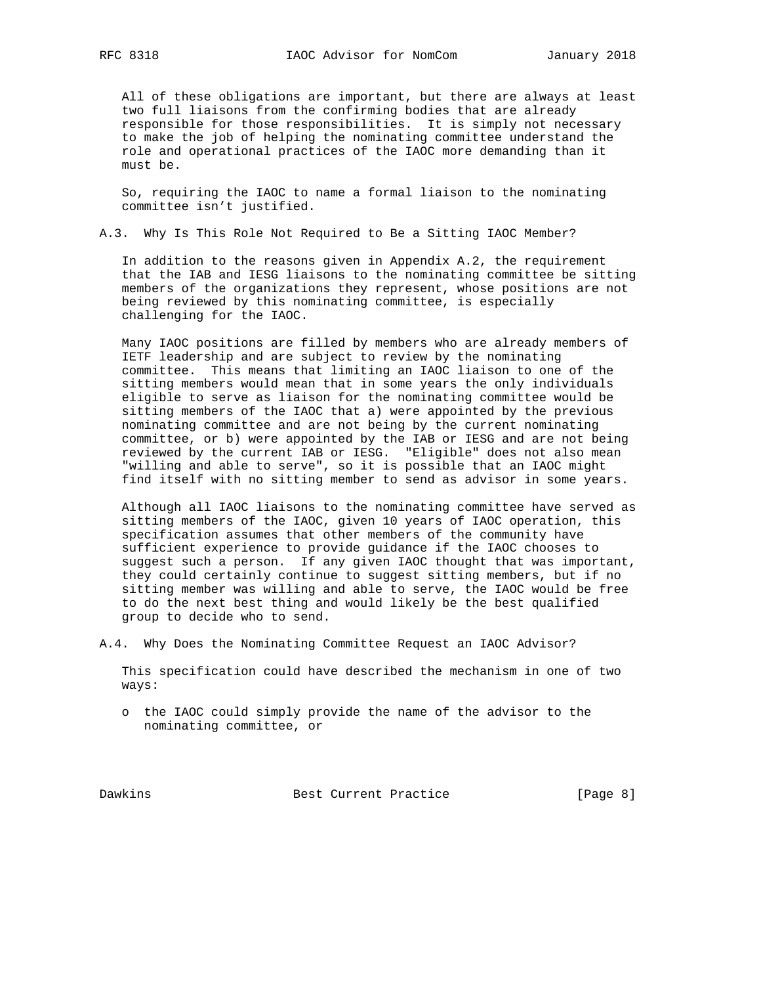All of these obligations are important, but there are always at least two full liaisons from the confirming bodies that are already responsible for those responsibilities. It is simply not necessary to make the job of helping the nominating committee understand the role and operational practices of the IAOC more demanding than it must be.

 So, requiring the IAOC to name a formal liaison to the nominating committee isn't justified.

A.3. Why Is This Role Not Required to Be a Sitting IAOC Member?

 In addition to the reasons given in Appendix A.2, the requirement that the IAB and IESG liaisons to the nominating committee be sitting members of the organizations they represent, whose positions are not being reviewed by this nominating committee, is especially challenging for the IAOC.

 Many IAOC positions are filled by members who are already members of IETF leadership and are subject to review by the nominating committee. This means that limiting an IAOC liaison to one of the sitting members would mean that in some years the only individuals eligible to serve as liaison for the nominating committee would be sitting members of the IAOC that a) were appointed by the previous nominating committee and are not being by the current nominating committee, or b) were appointed by the IAB or IESG and are not being reviewed by the current IAB or IESG. "Eligible" does not also mean "willing and able to serve", so it is possible that an IAOC might find itself with no sitting member to send as advisor in some years.

 Although all IAOC liaisons to the nominating committee have served as sitting members of the IAOC, given 10 years of IAOC operation, this specification assumes that other members of the community have sufficient experience to provide guidance if the IAOC chooses to suggest such a person. If any given IAOC thought that was important, they could certainly continue to suggest sitting members, but if no sitting member was willing and able to serve, the IAOC would be free to do the next best thing and would likely be the best qualified group to decide who to send.

A.4. Why Does the Nominating Committee Request an IAOC Advisor?

 This specification could have described the mechanism in one of two ways:

 o the IAOC could simply provide the name of the advisor to the nominating committee, or

Dawkins **Best Current Practice** [Page 8]